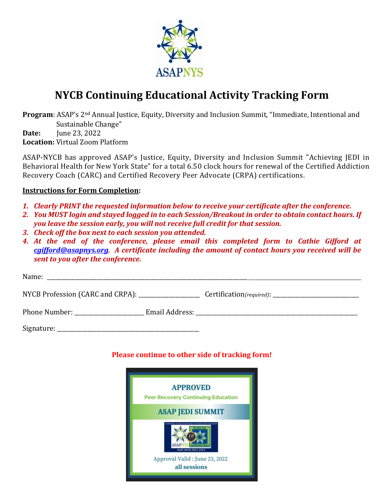

## **NYCB Continuing Educational Activity Tracking Form**

**Program**: ASAP's 2<sup>nd</sup> Annual Justice, Equity, Diversity and Inclusion Summit, "Immediate, Intentional and Sustainable Change"

**Date:** June 23, 2022 **Location:** Virtual Zoom Platform

ASAP-NYCB has approved ASAP's Justice, Equity, Diversity and Inclusion Summit "Achieving JEDI in Behavioral Health for New York State" for a total 6.50 clock hours for renewal of the Certified Addiction Recovery Coach (CARC) and Certified Recovery Peer Advocate (CRPA) certifications.

## **Instructions for Form Completion:**

- *1. Clearly PRINT the requested information below to receive your certificate after the conference.*
- *2. You MUST login and stayed logged in to each Session/Breakout in order to obtain contact hours. If you leave the session early, you will not receive full credit for that session.*
- *3. Check off the box next to each session you attended.*
- *4. At the end of the conference, please email this completed form to Cathie Gifford at [cgifford@asapnys.org.](mailto:cgifford@asapnys.org) A certificate including the amount of contact hours you received will be sent to you after the conference.*

## **Please continue to other side of tracking form!**